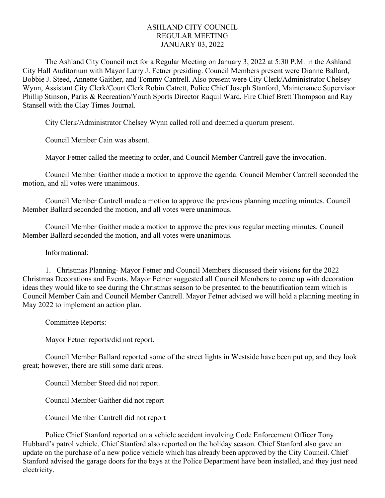## ASHLAND CITY COUNCIL REGULAR MEETING JANUARY 03, 2022

The Ashland City Council met for a Regular Meeting on January 3, 2022 at 5:30 P.M. in the Ashland City Hall Auditorium with Mayor Larry J. Fetner presiding. Council Members present were Dianne Ballard, Bobbie J. Steed, Annette Gaither, and Tommy Cantrell. Also present were City Clerk/Administrator Chelsey Wynn, Assistant City Clerk/Court Clerk Robin Catrett, Police Chief Joseph Stanford, Maintenance Supervisor Phillip Stinson, Parks & Recreation/Youth Sports Director Raquil Ward, Fire Chief Brett Thompson and Ray Stansell with the Clay Times Journal.

City Clerk/Administrator Chelsey Wynn called roll and deemed a quorum present.

Council Member Cain was absent.

Mayor Fetner called the meeting to order, and Council Member Cantrell gave the invocation.

Council Member Gaither made a motion to approve the agenda. Council Member Cantrell seconded the motion, and all votes were unanimous.

Council Member Cantrell made a motion to approve the previous planning meeting minutes. Council Member Ballard seconded the motion, and all votes were unanimous.

Council Member Gaither made a motion to approve the previous regular meeting minutes. Council Member Ballard seconded the motion, and all votes were unanimous.

Informational:

1. Christmas Planning- Mayor Fetner and Council Members discussed their visions for the 2022 Christmas Decorations and Events. Mayor Fetner suggested all Council Members to come up with decoration ideas they would like to see during the Christmas season to be presented to the beautification team which is Council Member Cain and Council Member Cantrell. Mayor Fetner advised we will hold a planning meeting in May 2022 to implement an action plan.

Committee Reports:

Mayor Fetner reports/did not report.

Council Member Ballard reported some of the street lights in Westside have been put up, and they look great; however, there are still some dark areas.

Council Member Steed did not report.

Council Member Gaither did not report

Council Member Cantrell did not report

Police Chief Stanford reported on a vehicle accident involving Code Enforcement Officer Tony Hubbard's patrol vehicle. Chief Stanford also reported on the holiday season. Chief Stanford also gave an update on the purchase of a new police vehicle which has already been approved by the City Council. Chief Stanford advised the garage doors for the bays at the Police Department have been installed, and they just need electricity.